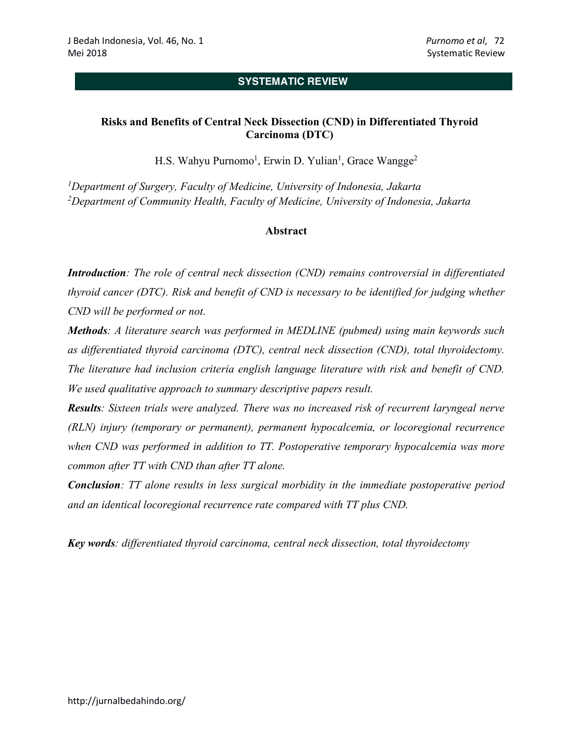## **SYSTEMATIC REVIEW**

# **Risks and Benefits of Central Neck Dissection (CND) in Differentiated Thyroid Carcinoma (DTC)**

H.S. Wahyu Purnomo<sup>1</sup>, Erwin D. Yulian<sup>1</sup>, Grace Wangge<sup>2</sup>

*1Department of Surgery, Faculty of Medicine, University of Indonesia, Jakarta 2Department of Community Health, Faculty of Medicine, University of Indonesia, Jakarta*

## **Abstract**

*Introduction: The role of central neck dissection (CND) remains controversial in differentiated thyroid cancer (DTC). Risk and benefit of CND is necessary to be identified for judging whether CND will be performed or not.* 

*Methods: A literature search was performed in MEDLINE (pubmed) using main keywords such as differentiated thyroid carcinoma (DTC), central neck dissection (CND), total thyroidectomy. The literature had inclusion criteria english language literature with risk and benefit of CND. We used qualitative approach to summary descriptive papers result.*

*Results: Sixteen trials were analyzed. There was no increased risk of recurrent laryngeal nerve (RLN) injury (temporary or permanent), permanent hypocalcemia, or locoregional recurrence when CND was performed in addition to TT. Postoperative temporary hypocalcemia was more common after TT with CND than after TT alone.*

*Conclusion: TT alone results in less surgical morbidity in the immediate postoperative period and an identical locoregional recurrence rate compared with TT plus CND.*

*Key words: differentiated thyroid carcinoma, central neck dissection, total thyroidectomy*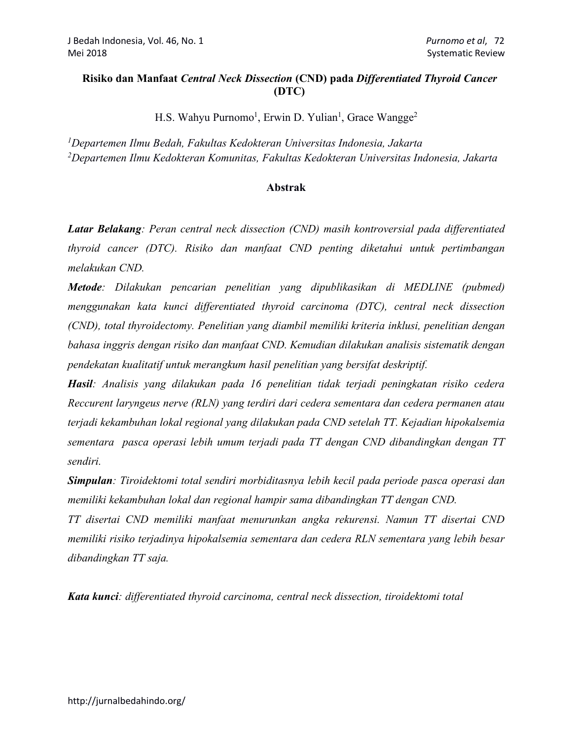## **Risiko dan Manfaat** *Central Neck Dissection* **(CND) pada** *Differentiated Thyroid Cancer*  **(DTC)**

H.S. Wahyu Purnomo<sup>1</sup>, Erwin D. Yulian<sup>1</sup>, Grace Wangge<sup>2</sup>

*1Departemen Ilmu Bedah, Fakultas Kedokteran Universitas Indonesia, Jakarta 2 Departemen Ilmu Kedokteran Komunitas, Fakultas Kedokteran Universitas Indonesia, Jakarta*

## **Abstrak**

*Latar Belakang: Peran central neck dissection (CND) masih kontroversial pada differentiated thyroid cancer (DTC). Risiko dan manfaat CND penting diketahui untuk pertimbangan melakukan CND.*

*Metode: Dilakukan pencarian penelitian yang dipublikasikan di MEDLINE (pubmed) menggunakan kata kunci differentiated thyroid carcinoma (DTC), central neck dissection (CND), total thyroidectomy. Penelitian yang diambil memiliki kriteria inklusi, penelitian dengan bahasa inggris dengan risiko dan manfaat CND. Kemudian dilakukan analisis sistematik dengan pendekatan kualitatif untuk merangkum hasil penelitian yang bersifat deskriptif.*

*Hasil: Analisis yang dilakukan pada 16 penelitian tidak terjadi peningkatan risiko cedera Reccurent laryngeus nerve (RLN) yang terdiri dari cedera sementara dan cedera permanen atau terjadi kekambuhan lokal regional yang dilakukan pada CND setelah TT. Kejadian hipokalsemia sementara pasca operasi lebih umum terjadi pada TT dengan CND dibandingkan dengan TT sendiri.*

*Simpulan: Tiroidektomi total sendiri morbiditasnya lebih kecil pada periode pasca operasi dan memiliki kekambuhan lokal dan regional hampir sama dibandingkan TT dengan CND.*

*TT disertai CND memiliki manfaat menurunkan angka rekurensi. Namun TT disertai CND memiliki risiko terjadinya hipokalsemia sementara dan cedera RLN sementara yang lebih besar dibandingkan TT saja.* 

*Kata kunci: differentiated thyroid carcinoma, central neck dissection, tiroidektomi total*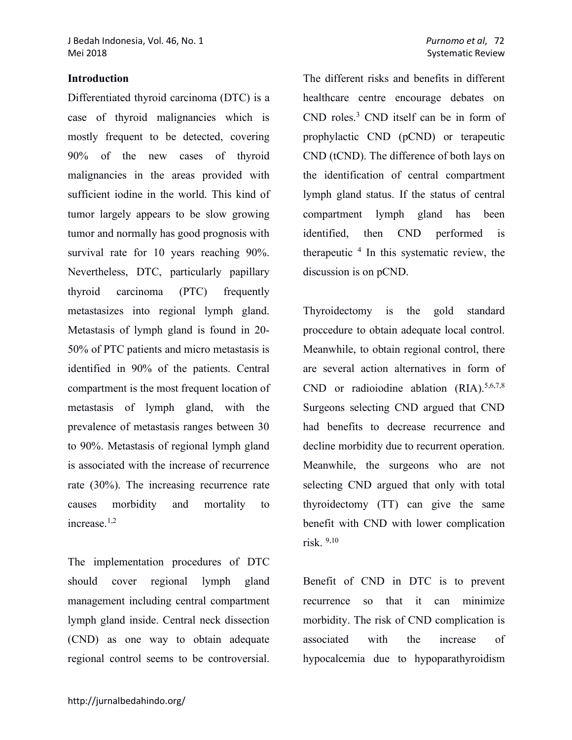#### **Introduction**

Differentiated thyroid carcinoma (DTC) is a case of thyroid malignancies which is mostly frequent to be detected, covering 90% of the new cases of thyroid malignancies in the areas provided with sufficient iodine in the world. This kind of tumor largely appears to be slow growing tumor and normally has good prognosis with survival rate for 10 years reaching 90%. Nevertheless, DTC, particularly papillary thyroid carcinoma (PTC) frequently metastasizes into regional lymph gland. Metastasis of lymph gland is found in 20- 50% of PTC patients and micro metastasis is identified in 90% of the patients. Central compartment is the most frequent location of metastasis of lymph gland, with the prevalence of metastasis ranges between 30 to 90%. Metastasis of regional lymph gland is associated with the increase of recurrence rate (30%). The increasing recurrence rate causes morbidity and mortality to increase.1,2

The implementation procedures of DTC should cover regional lymph gland management including central compartment lymph gland inside. Central neck dissection (CND) as one way to obtain adequate regional control seems to be controversial. The different risks and benefits in different healthcare centre encourage debates on CND roles.3 CND itself can be in form of prophylactic CND (pCND) or terapeutic CND (tCND). The difference of both lays on the identification of central compartment lymph gland status. If the status of central compartment lymph gland has been identified, then CND performed is therapeutic  $4$  In this systematic review, the discussion is on pCND.

Thyroidectomy is the gold standard proccedure to obtain adequate local control. Meanwhile, to obtain regional control, there are several action alternatives in form of CND or radioiodine ablation  $(RIA).$ <sup>5,6,7,8</sup> Surgeons selecting CND argued that CND had benefits to decrease recurrence and decline morbidity due to recurrent operation. Meanwhile, the surgeons who are not selecting CND argued that only with total thyroidectomy (TT) can give the same benefit with CND with lower complication risk. 9,10

Benefit of CND in DTC is to prevent recurrence so that it can minimize morbidity. The risk of CND complication is associated with the increase of hypocalcemia due to hypoparathyroidism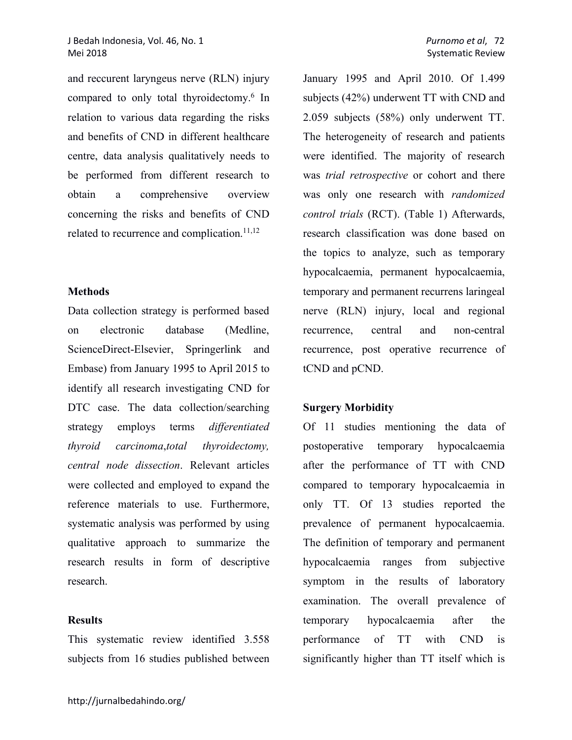and reccurent laryngeus nerve (RLN) injury compared to only total thyroidectomy.6 In relation to various data regarding the risks and benefits of CND in different healthcare centre, data analysis qualitatively needs to be performed from different research to obtain a comprehensive overview concerning the risks and benefits of CND related to recurrence and complication.<sup>11,12</sup>

### **Methods**

Data collection strategy is performed based on electronic database (Medline, ScienceDirect-Elsevier, Springerlink and Embase) from January 1995 to April 2015 to identify all research investigating CND for DTC case. The data collection/searching strategy employs terms *differentiated thyroid carcinoma*,*total thyroidectomy, central node dissection*. Relevant articles were collected and employed to expand the reference materials to use. Furthermore, systematic analysis was performed by using qualitative approach to summarize the research results in form of descriptive research.

#### **Results**

This systematic review identified 3.558 subjects from 16 studies published between January 1995 and April 2010. Of 1.499 subjects (42%) underwent TT with CND and 2.059 subjects (58%) only underwent TT. The heterogeneity of research and patients were identified. The majority of research was *trial retrospective* or cohort and there was only one research with *randomized control trials* (RCT). (Table 1) Afterwards, research classification was done based on the topics to analyze, such as temporary hypocalcaemia, permanent hypocalcaemia, temporary and permanent recurrens laringeal nerve (RLN) injury, local and regional recurrence, central and non-central recurrence, post operative recurrence of tCND and pCND.

#### **Surgery Morbidity**

Of 11 studies mentioning the data of postoperative temporary hypocalcaemia after the performance of TT with CND compared to temporary hypocalcaemia in only TT. Of 13 studies reported the prevalence of permanent hypocalcaemia. The definition of temporary and permanent hypocalcaemia ranges from subjective symptom in the results of laboratory examination. The overall prevalence of temporary hypocalcaemia after the performance of TT with CND is significantly higher than TT itself which is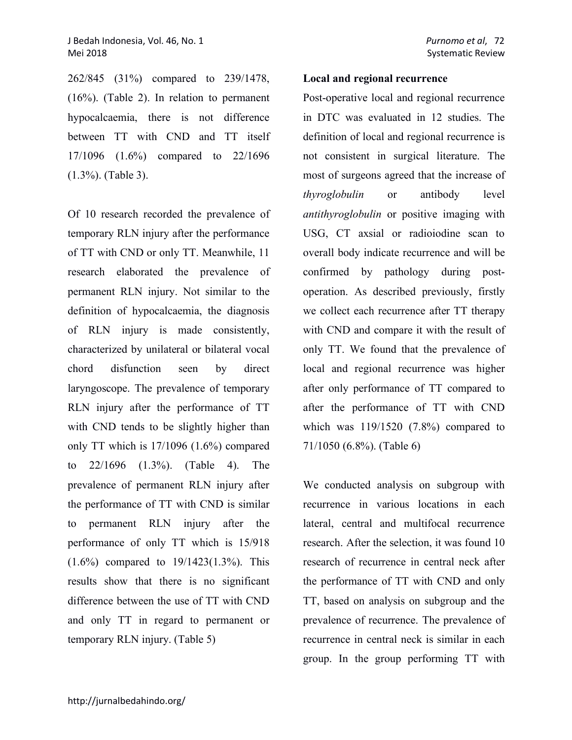262/845 (31%) compared to 239/1478, (16%). (Table 2). In relation to permanent hypocalcaemia, there is not difference between TT with CND and TT itself 17/1096 (1.6%) compared to 22/1696 (1.3%). (Table 3).

Of 10 research recorded the prevalence of temporary RLN injury after the performance of TT with CND or only TT. Meanwhile, 11 research elaborated the prevalence of permanent RLN injury. Not similar to the definition of hypocalcaemia, the diagnosis of RLN injury is made consistently, characterized by unilateral or bilateral vocal chord disfunction seen by direct laryngoscope. The prevalence of temporary RLN injury after the performance of TT with CND tends to be slightly higher than only TT which is 17/1096 (1.6%) compared to 22/1696 (1.3%). (Table 4). The prevalence of permanent RLN injury after the performance of TT with CND is similar to permanent RLN injury after the performance of only TT which is 15/918 (1.6%) compared to 19/1423(1.3%). This results show that there is no significant difference between the use of TT with CND and only TT in regard to permanent or temporary RLN injury. (Table 5)

### **Local and regional recurrence**

Post-operative local and regional recurrence in DTC was evaluated in 12 studies. The definition of local and regional recurrence is not consistent in surgical literature. The most of surgeons agreed that the increase of *thyroglobulin* or antibody level *antithyroglobulin* or positive imaging with USG, CT axsial or radioiodine scan to overall body indicate recurrence and will be confirmed by pathology during postoperation. As described previously, firstly we collect each recurrence after TT therapy with CND and compare it with the result of only TT. We found that the prevalence of local and regional recurrence was higher after only performance of TT compared to after the performance of TT with CND which was 119/1520 (7.8%) compared to 71/1050 (6.8%). (Table 6)

We conducted analysis on subgroup with recurrence in various locations in each lateral, central and multifocal recurrence research. After the selection, it was found 10 research of recurrence in central neck after the performance of TT with CND and only TT, based on analysis on subgroup and the prevalence of recurrence. The prevalence of recurrence in central neck is similar in each group. In the group performing TT with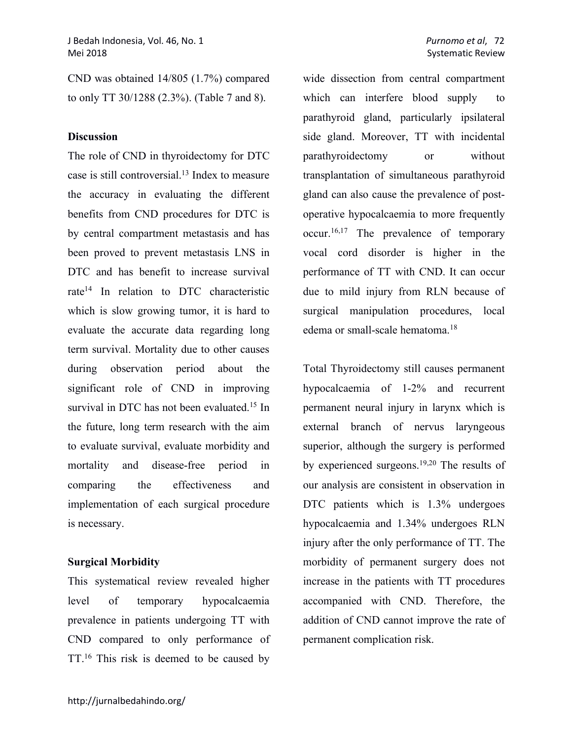CND was obtained 14/805 (1.7%) compared to only TT 30/1288 (2.3%). (Table 7 and 8).

## **Discussion**

The role of CND in thyroidectomy for DTC case is still controversial.13 Index to measure the accuracy in evaluating the different benefits from CND procedures for DTC is by central compartment metastasis and has been proved to prevent metastasis LNS in DTC and has benefit to increase survival rate<sup>14</sup> In relation to DTC characteristic which is slow growing tumor, it is hard to evaluate the accurate data regarding long term survival. Mortality due to other causes during observation period about the significant role of CND in improving survival in DTC has not been evaluated.<sup>15</sup> In the future, long term research with the aim to evaluate survival, evaluate morbidity and mortality and disease-free period in comparing the effectiveness and implementation of each surgical procedure is necessary.

## **Surgical Morbidity**

This systematical review revealed higher level of temporary hypocalcaemia prevalence in patients undergoing TT with CND compared to only performance of TT.<sup>16</sup> This risk is deemed to be caused by

wide dissection from central compartment which can interfere blood supply to parathyroid gland, particularly ipsilateral side gland. Moreover, TT with incidental parathyroidectomy or without transplantation of simultaneous parathyroid gland can also cause the prevalence of postoperative hypocalcaemia to more frequently occur.16,17 The prevalence of temporary vocal cord disorder is higher in the performance of TT with CND. It can occur due to mild injury from RLN because of surgical manipulation procedures, local edema or small-scale hematoma. 18

Total Thyroidectomy still causes permanent hypocalcaemia of 1-2% and recurrent permanent neural injury in larynx which is external branch of nervus laryngeous superior, although the surgery is performed by experienced surgeons.19,20 The results of our analysis are consistent in observation in DTC patients which is 1.3% undergoes hypocalcaemia and 1.34% undergoes RLN injury after the only performance of TT. The morbidity of permanent surgery does not increase in the patients with TT procedures accompanied with CND. Therefore, the addition of CND cannot improve the rate of permanent complication risk.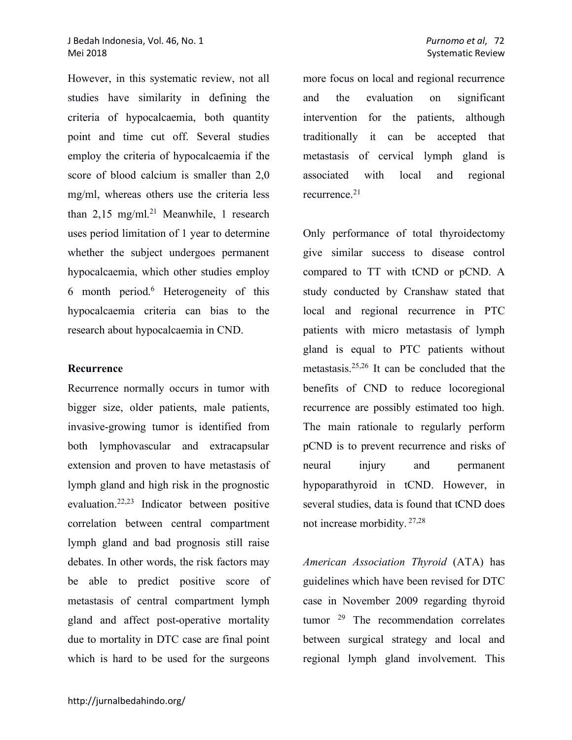## J Bedah Indonesia, Vol. 46, No. 1 *Purnomo et al*, 72 Mei 2018 Systematic Review Contract According to the Systematic Review Systematic Review Systematic Review Systematic Review

However, in this systematic review, not all studies have similarity in defining the criteria of hypocalcaemia, both quantity point and time cut off. Several studies employ the criteria of hypocalcaemia if the score of blood calcium is smaller than 2,0 mg/ml, whereas others use the criteria less than  $2,15 \text{ mg/ml}.^{21}$  Meanwhile, 1 research uses period limitation of 1 year to determine whether the subject undergoes permanent hypocalcaemia, which other studies employ 6 month period.6 Heterogeneity of this hypocalcaemia criteria can bias to the research about hypocalcaemia in CND.

#### **Recurrence**

Recurrence normally occurs in tumor with bigger size, older patients, male patients, invasive-growing tumor is identified from both lymphovascular and extracapsular extension and proven to have metastasis of lymph gland and high risk in the prognostic evaluation.22,23 Indicator between positive correlation between central compartment lymph gland and bad prognosis still raise debates. In other words, the risk factors may be able to predict positive score of metastasis of central compartment lymph gland and affect post-operative mortality due to mortality in DTC case are final point which is hard to be used for the surgeons

more focus on local and regional recurrence and the evaluation on significant intervention for the patients, although traditionally it can be accepted that metastasis of cervical lymph gland is associated with local and regional recurrence.<sup>21</sup>

Only performance of total thyroidectomy give similar success to disease control compared to TT with tCND or pCND. A study conducted by Cranshaw stated that local and regional recurrence in PTC patients with micro metastasis of lymph gland is equal to PTC patients without metastasis.25,26 It can be concluded that the benefits of CND to reduce locoregional recurrence are possibly estimated too high. The main rationale to regularly perform pCND is to prevent recurrence and risks of neural injury and permanent hypoparathyroid in tCND. However, in several studies, data is found that tCND does not increase morbidity. 27,28

*American Association Thyroid* (ATA) has guidelines which have been revised for DTC case in November 2009 regarding thyroid tumor 29 The recommendation correlates between surgical strategy and local and regional lymph gland involvement. This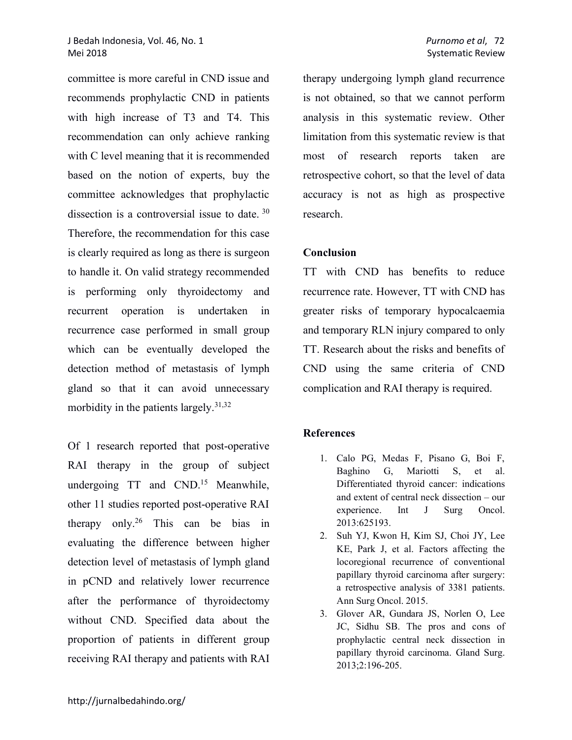committee is more careful in CND issue and recommends prophylactic CND in patients with high increase of T3 and T4. This recommendation can only achieve ranking with C level meaning that it is recommended based on the notion of experts, buy the committee acknowledges that prophylactic dissection is a controversial issue to date. <sup>30</sup> Therefore, the recommendation for this case is clearly required as long as there is surgeon to handle it. On valid strategy recommended is performing only thyroidectomy and recurrent operation is undertaken in recurrence case performed in small group which can be eventually developed the detection method of metastasis of lymph gland so that it can avoid unnecessary morbidity in the patients largely.31,32

Of 1 research reported that post-operative RAI therapy in the group of subject undergoing TT and CND.<sup>15</sup> Meanwhile, other 11 studies reported post-operative RAI therapy only.<sup>26</sup> This can be bias in evaluating the difference between higher detection level of metastasis of lymph gland in pCND and relatively lower recurrence after the performance of thyroidectomy without CND. Specified data about the proportion of patients in different group receiving RAI therapy and patients with RAI

therapy undergoing lymph gland recurrence is not obtained, so that we cannot perform analysis in this systematic review. Other limitation from this systematic review is that most of research reports taken are retrospective cohort, so that the level of data accuracy is not as high as prospective research.

## **Conclusion**

TT with CND has benefits to reduce recurrence rate. However, TT with CND has greater risks of temporary hypocalcaemia and temporary RLN injury compared to only TT. Research about the risks and benefits of CND using the same criteria of CND complication and RAI therapy is required.

# **References**

- 1. Calo PG, Medas F, Pisano G, Boi F, Baghino G, Mariotti S, et al. Differentiated thyroid cancer: indications and extent of central neck dissection – our experience. Int J Surg Oncol. 2013:625193.
- 2. Suh YJ, Kwon H, Kim SJ, Choi JY, Lee KE, Park J, et al. Factors affecting the locoregional recurrence of conventional papillary thyroid carcinoma after surgery: a retrospective analysis of 3381 patients. Ann Surg Oncol. 2015.
- 3. Glover AR, Gundara JS, Norlen O, Lee JC, Sidhu SB. The pros and cons of prophylactic central neck dissection in papillary thyroid carcinoma. Gland Surg. 2013;2:196-205.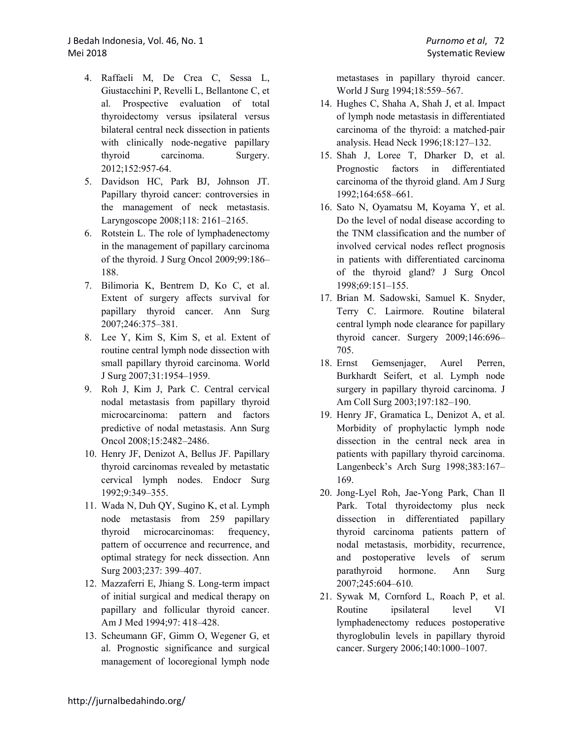- 4. Raffaeli M, De Crea C, Sessa L, Giustacchini P, Revelli L, Bellantone C, et al. Prospective evaluation of total thyroidectomy versus ipsilateral versus bilateral central neck dissection in patients with clinically node-negative papillary thyroid carcinoma. Surgery. 2012;152:957-64.
- 5. Davidson HC, Park BJ, Johnson JT. Papillary thyroid cancer: controversies in the management of neck metastasis. Laryngoscope 2008;118: 2161–2165.
- 6. Rotstein L. The role of lymphadenectomy in the management of papillary carcinoma of the thyroid. J Surg Oncol 2009;99:186– 188.
- 7. Bilimoria K, Bentrem D, Ko C, et al. Extent of surgery affects survival for papillary thyroid cancer. Ann Surg 2007;246:375–381.
- 8. Lee Y, Kim S, Kim S, et al. Extent of routine central lymph node dissection with small papillary thyroid carcinoma. World J Surg 2007;31:1954–1959.
- 9. Roh J, Kim J, Park C. Central cervical nodal metastasis from papillary thyroid microcarcinoma: pattern and factors predictive of nodal metastasis. Ann Surg Oncol 2008;15:2482–2486.
- 10. Henry JF, Denizot A, Bellus JF. Papillary thyroid carcinomas revealed by metastatic cervical lymph nodes. Endocr Surg 1992;9:349–355.
- 11. Wada N, Duh QY, Sugino K, et al. Lymph node metastasis from 259 papillary thyroid microcarcinomas: frequency, pattern of occurrence and recurrence, and optimal strategy for neck dissection. Ann Surg 2003;237: 399–407.
- 12. Mazzaferri E, Jhiang S. Long-term impact of initial surgical and medical therapy on papillary and follicular thyroid cancer. Am J Med 1994;97: 418–428.
- 13. Scheumann GF, Gimm O, Wegener G, et al. Prognostic significance and surgical management of locoregional lymph node

metastases in papillary thyroid cancer. World J Surg 1994;18:559–567.

- 14. Hughes C, Shaha A, Shah J, et al. Impact of lymph node metastasis in differentiated carcinoma of the thyroid: a matched-pair analysis. Head Neck 1996;18:127–132.
- 15. Shah J, Loree T, Dharker D, et al. Prognostic factors in differentiated carcinoma of the thyroid gland. Am J Surg 1992;164:658–661.
- 16. Sato N, Oyamatsu M, Koyama Y, et al. Do the level of nodal disease according to the TNM classification and the number of involved cervical nodes reflect prognosis in patients with differentiated carcinoma of the thyroid gland? J Surg Oncol 1998;69:151–155.
- 17. Brian M. Sadowski, Samuel K. Snyder, Terry C. Lairmore. Routine bilateral central lymph node clearance for papillary thyroid cancer. Surgery 2009;146:696– 705.
- 18. Ernst Gemsenjager, Aurel Perren, Burkhardt Seifert, et al. Lymph node surgery in papillary thyroid carcinoma. J Am Coll Surg 2003;197:182–190.
- 19. Henry JF, Gramatica L, Denizot A, et al. Morbidity of prophylactic lymph node dissection in the central neck area in patients with papillary thyroid carcinoma. Langenbeck's Arch Surg 1998;383:167– 169.
- 20. Jong-Lyel Roh, Jae-Yong Park, Chan Il Park. Total thyroidectomy plus neck dissection in differentiated papillary thyroid carcinoma patients pattern of nodal metastasis, morbidity, recurrence, and postoperative levels of serum parathyroid hormone. Ann Surg 2007;245:604–610.
- 21. Sywak M, Cornford L, Roach P, et al. Routine ipsilateral level VI lymphadenectomy reduces postoperative thyroglobulin levels in papillary thyroid cancer. Surgery 2006;140:1000–1007.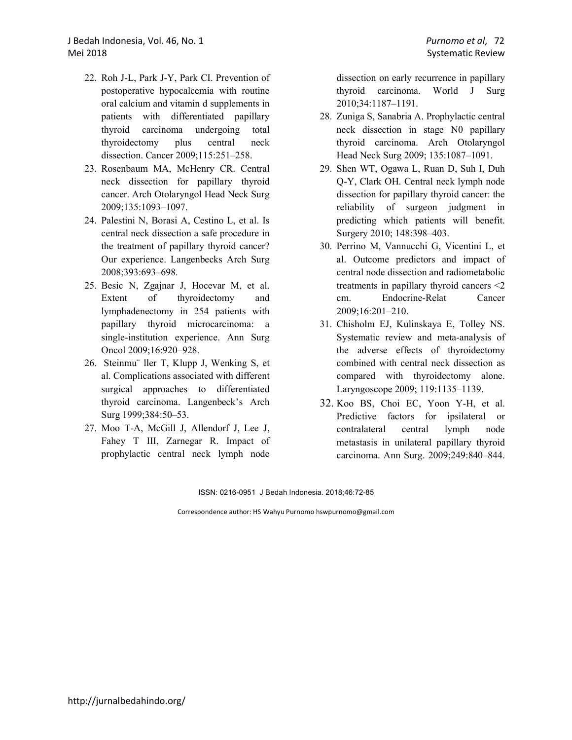- 22. Roh J-L, Park J-Y, Park CI. Prevention of postoperative hypocalcemia with routine oral calcium and vitamin d supplements in patients with differentiated papillary thyroid carcinoma undergoing total thyroidectomy plus central neck dissection. Cancer 2009;115:251–258.
- 23. Rosenbaum MA, McHenry CR. Central neck dissection for papillary thyroid cancer. Arch Otolaryngol Head Neck Surg 2009;135:1093–1097.
- 24. Palestini N, Borasi A, Cestino L, et al. Is central neck dissection a safe procedure in the treatment of papillary thyroid cancer? Our experience. Langenbecks Arch Surg 2008;393:693–698.
- 25. Besic N, Zgajnar J, Hocevar M, et al. Extent of thyroidectomy and lymphadenectomy in 254 patients with papillary thyroid microcarcinoma: a single-institution experience. Ann Surg Oncol 2009;16:920–928.
- 26. Steinmu¨ ller T, Klupp J, Wenking S, et al. Complications associated with different surgical approaches to differentiated thyroid carcinoma. Langenbeck's Arch Surg 1999;384:50–53.
- 27. Moo T-A, McGill J, Allendorf J, Lee J, Fahey T III, Zarnegar R. Impact of prophylactic central neck lymph node

dissection on early recurrence in papillary thyroid carcinoma. World J Surg 2010;34:1187–1191.

- 28. Zuniga S, Sanabria A. Prophylactic central neck dissection in stage N0 papillary thyroid carcinoma. Arch Otolaryngol Head Neck Surg 2009; 135:1087–1091.
- 29. Shen WT, Ogawa L, Ruan D, Suh I, Duh Q-Y, Clark OH. Central neck lymph node dissection for papillary thyroid cancer: the reliability of surgeon judgment in predicting which patients will benefit. Surgery 2010; 148:398–403.
- 30. Perrino M, Vannucchi G, Vicentini L, et al. Outcome predictors and impact of central node dissection and radiometabolic treatments in papillary thyroid cancers <2 cm. Endocrine-Relat Cancer 2009;16:201–210.
- 31. Chisholm EJ, Kulinskaya E, Tolley NS. Systematic review and meta-analysis of the adverse effects of thyroidectomy combined with central neck dissection as compared with thyroidectomy alone. Laryngoscope 2009; 119:1135–1139.
- 32. Koo BS, Choi EC, Yoon Y-H, et al. Predictive factors for ipsilateral or contralateral central lymph node metastasis in unilateral papillary thyroid carcinoma. Ann Surg. 2009;249:840–844.

ISSN: 0216-0951 J Bedah Indonesia. 2018;46:72-85

Correspondence author: HS Wahyu Purnomo hswpurnomo@gmail.com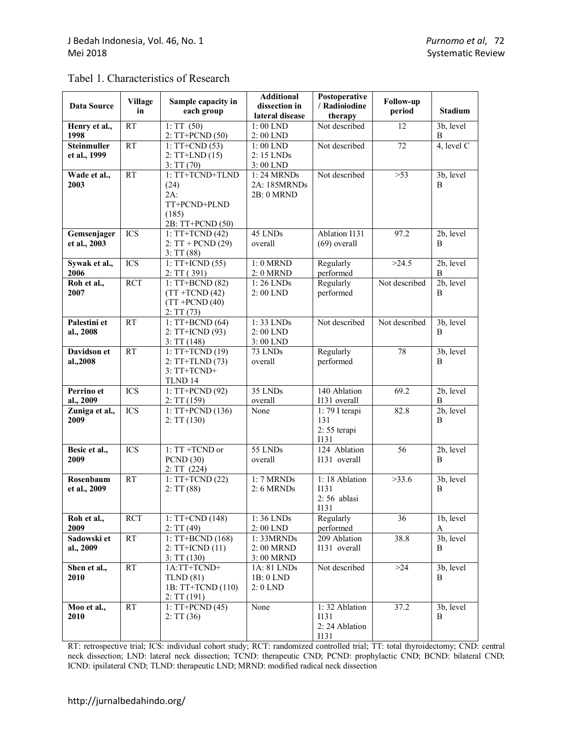| Tabel 1. Characteristics of Research |
|--------------------------------------|
|--------------------------------------|

| Data Source                 | <b>Village</b><br>in | Sample capacity in<br>each group                                               | <b>Additional</b><br>dissection in<br>lateral disease | Postoperative<br>/ Radioiodine<br>therapy      | Follow-up<br>period | <b>Stadium</b>               |
|-----------------------------|----------------------|--------------------------------------------------------------------------------|-------------------------------------------------------|------------------------------------------------|---------------------|------------------------------|
| Henry et al.,<br>1998       | <b>RT</b>            | 1:TT(50)<br>2: TT+PCND (50)                                                    | 1:00 LND<br>2:00 LND                                  | Not described                                  | 12                  | 3b, level<br>B               |
| Steinmuller<br>et al., 1999 | <b>RT</b>            | $1:TT+CND(53)$<br>$2:TT+LND(15)$<br>3:TT(70)                                   | $1:00$ LND<br>2:15 LNDs<br>3:00 LND                   | Not described                                  | 72                  | 4, level C                   |
| Wade et al.,<br>2003        | <b>RT</b>            | 1: TT+TCND+TLND<br>(24)<br>$2A$ :<br>TT+PCND+PLND<br>(185)<br>2B: TT+PCND (50) | 1: 24 MRNDs<br>2A: 185MRNDs<br>2B: 0 MRND             | Not described                                  | $>53$               | 3b, level<br>B               |
| Gemsenjager<br>et al., 2003 | <b>ICS</b>           | $1:TT+TCND(42)$<br>$2:TT + PCND (29)$<br>3:TT(88)                              | 45 LNDs<br>overall                                    | Ablation I131<br>$(69)$ overall                | 97.2                | 2b, level<br>B               |
| Sywak et al.,<br>2006       | <b>ICS</b>           | $1:TT+ICND(55)$<br>2:TT(391)                                                   | 1: 0 MRND<br>2: 0 MRND                                | Regularly<br>performed                         | >24.5               | 2b, level<br>B               |
| Roh et al.,<br>2007         | $\overline{RCT}$     | $1:TT+BCND(82)$<br>$(TT + TCND (42)$<br>$(TT + PCND (40))$<br>2:TT(73)         | 1:26 LNDs<br>2:00 LND                                 | Regularly<br>performed                         | Not described       | $\overline{2b}$ , level<br>B |
| Palestini et<br>al., 2008   | <b>RT</b>            | $1:TT+BCND(64)$<br>2: TT+ICND (93)<br>3:TT(148)                                | 1:33 LNDs<br>2:00 LND<br>3:00 LND                     | Not described                                  | Not described       | 3b, level<br>B               |
| Davidson et<br>al.,2008     | <b>RT</b>            | 1: TT+TCND (19)<br>2: TT+TLND (73)<br>3: TT+TCND+<br>TLND 14                   | 73 LNDs<br>overall                                    | Regularly<br>performed                         | 78                  | 3b, level<br>B               |
| Perrino et<br>al., 2009     | <b>ICS</b>           | 1: TT+PCND (92)<br>2:TT(159)                                                   | 35 LNDs<br>overall                                    | 140 Ablation<br>I131 overall                   | 69.2                | 2b, level<br>B               |
| Zuniga et al.,<br>2009      | <b>ICS</b>           | 1: TT+PCND (136)<br>2:TT(130)                                                  | None                                                  | 1:79 I terapi<br>131<br>2:55 terapi<br>I131    | 82.8                | 2b, level<br>B               |
| Besic et al.,<br>2009       | <b>ICS</b>           | 1: TT +TCND or<br><b>PCND</b> (30)<br>2:TT(224)                                | 55 LNDs<br>overall                                    | 124 Ablation<br>I131 overall                   | 56                  | 2b, level<br>B               |
| Rosenbaum<br>et al., 2009   | <b>RT</b>            | $1:TT+TCND(22)$<br>2:TT(88)                                                    | 1: 7 MRNDs<br>$2:6$ MRNDs                             | 1:18 Ablation<br>I131<br>$2:56$ ablasi<br>1131 | >33.6               | 3b, level<br>B               |
| Roh et al.,<br>2009         | <b>RCT</b>           | $1:TT+CND(148)$<br>2:TT(49)                                                    | 1:36 LNDs<br>$2:00$ LND                               | Regularly<br>performed                         | 36                  | 1b, level<br>A               |
| Sadowski et<br>al., 2009    | RT                   | $1:TT+BCND(168)$<br>$2:TT+ICND(11)$<br>3:TT(130)                               | 1: 33MRNDs<br>2:00 MRND<br>3:00 MRND                  | 209 Ablation<br>I131 overall                   | 38.8                | 3b, level<br>B               |
| Shen et al.,<br>2010        | RT                   | 1A:TT+TCND+<br>TLND(81)<br>1B: TT+TCND (110)<br>2:TT(191)                      | 1A: 81 LNDs<br>1B: 0 LND<br>2: 0 LND                  | Not described                                  | $>24$               | 3b, level<br>B               |
| Moo et al.,<br>2010         | RT                   | $1:TT+PCND(45)$<br>2:TT(36)                                                    | None                                                  | 1:32 Ablation<br>I131<br>2:24 Ablation<br>I131 | 37.2                | 3b, level<br>B               |

RT: retrospective trial; ICS: individual cohort study; RCT: randomized controlled trial; TT: total thyroidectomy; CND: central neck dissection; LND: lateral neck dissection; TCND: therapeutic CND; PCND: prophylactic CND; BCND: bilateral CND; ICND: ipsilateral CND; TLND: therapeutic LND; MRND: modified radical neck dissection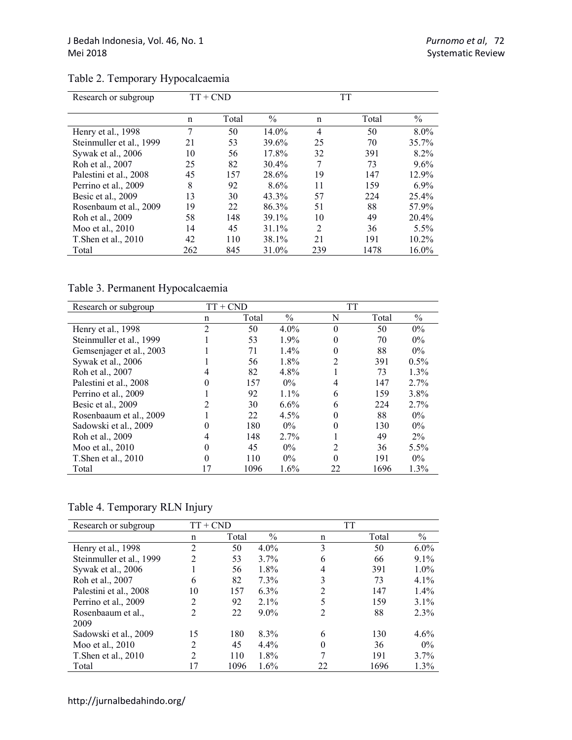| Research or subgroup     | $TT + CND$ |       | TT            |                |       |               |  |
|--------------------------|------------|-------|---------------|----------------|-------|---------------|--|
|                          | n          | Total | $\frac{0}{0}$ | n              | Total | $\frac{0}{0}$ |  |
| Henry et al., 1998       | 7          | 50    | 14.0%         | 4              | 50    | $8.0\%$       |  |
| Steinmuller et al., 1999 | 21         | 53    | 39.6%         | 25             | 70    | 35.7%         |  |
| Sywak et al., 2006       | 10         | 56    | 17.8%         | 32             | 391   | 8.2%          |  |
| Roh et al., 2007         | 25         | 82    | 30.4%         | 7              | 73    | $9.6\%$       |  |
| Palestini et al., 2008   | 45         | 157   | 28.6%         | 19             | 147   | 12.9%         |  |
| Perrino et al., 2009     | 8          | 92    | $8.6\%$       | 11             | 159   | $6.9\%$       |  |
| Besic et al., 2009       | 13         | 30    | 43.3%         | 57             | 224   | $25.4\%$      |  |
| Rosenbaum et al., 2009   | 19         | 22    | 86.3%         | 51             | 88    | 57.9%         |  |
| Roh et al., 2009         | 58         | 148   | 39.1%         | 10             | 49    | 20.4%         |  |
| Moo et al., 2010         | 14         | 45    | 31.1%         | $\overline{2}$ | 36    | 5.5%          |  |
| T. Shen et al., 2010     | 42         | 110   | 38.1%         | 21             | 191   | 10.2%         |  |
| Total                    | 262        | 845   | 31.0%         | 239            | 1478  | 16.0%         |  |

# Table 2. Temporary Hypocalcaemia

Table 3. Permanent Hypocalcaemia

| Research or subgroup     | $TT + CND$     |       | <b>TT</b>     |          |       |               |
|--------------------------|----------------|-------|---------------|----------|-------|---------------|
|                          | n              | Total | $\frac{0}{0}$ | N        | Total | $\frac{0}{0}$ |
| Henry et al., 1998       | $\overline{2}$ | 50    | $4.0\%$       | $\theta$ | 50    | $0\%$         |
| Steinmuller et al., 1999 |                | 53    | 1.9%          | 0        | 70    | $0\%$         |
| Gemsenjager et al., 2003 |                | 71    | 1.4%          | 0        | 88    | $0\%$         |
| Sywak et al., 2006       |                | 56    | 1.8%          | 2        | 391   | $0.5\%$       |
| Roh et al., 2007         |                | 82    | 4.8%          |          | 73    | 1.3%          |
| Palestini et al., 2008   |                | 157   | $0\%$         | 4        | 147   | 2.7%          |
| Perrino et al., 2009     |                | 92    | $1.1\%$       | 6        | 159   | 3.8%          |
| Besic et al., 2009       |                | 30    | 6.6%          | 6        | 224   | 2.7%          |
| Rosenbaaum et al., 2009  |                | 22    | 4.5%          | 0        | 88    | $0\%$         |
| Sadowski et al., 2009    |                | 180   | $0\%$         | 0        | 130   | $0\%$         |
| Roh et al., 2009         |                | 148   | 2.7%          |          | 49    | $2\%$         |
| Moo et al., 2010         | 0              | 45    | $0\%$         | 2        | 36    | 5.5%          |
| T. Shen et al., 2010     | 0              | 110   | $0\%$         | 0        | 191   | $0\%$         |
| Total                    | 17             | 1096  | 1.6%          | 22       | 1696  | 1.3%          |

Table 4. Temporary RLN Injury

| Research or subgroup     | $TT + CND$     |       |               | TT |       |         |
|--------------------------|----------------|-------|---------------|----|-------|---------|
|                          | n              | Total | $\frac{0}{0}$ | n  | Total | $\%$    |
| Henry et al., 1998       | $\overline{2}$ | 50    | $4.0\%$       | 3  | 50    | $6.0\%$ |
| Steinmuller et al., 1999 | 2              | 53    | $3.7\%$       | 6  | 66    | $9.1\%$ |
| Sywak et al., 2006       |                | 56    | 1.8%          | 4  | 391   | $1.0\%$ |
| Roh et al., 2007         | 6              | 82    | 7.3%          | 3  | 73    | $4.1\%$ |
| Palestini et al., 2008   | 10             | 157   | 6.3%          |    | 147   | $1.4\%$ |
| Perrino et al., 2009     | $\overline{c}$ | 92    | $2.1\%$       |    | 159   | 3.1%    |
| Rosenbaaum et al.,       | 2              | 22    | $9.0\%$       | 2  | 88    | 2.3%    |
| 2009                     |                |       |               |    |       |         |
| Sadowski et al., 2009    | 15             | 180   | 8.3%          | 6  | 130   | 4.6%    |
| Moo et al., 2010         | $\mathfrak{D}$ | 45    | $4.4\%$       |    | 36    | $0\%$   |
| T. Shen et al., 2010     | $\mathfrak{D}$ | 110   | 1.8%          |    | 191   | $3.7\%$ |
| Total                    | 17             | 1096  | 1.6%          | 22 | 1696  | 1.3%    |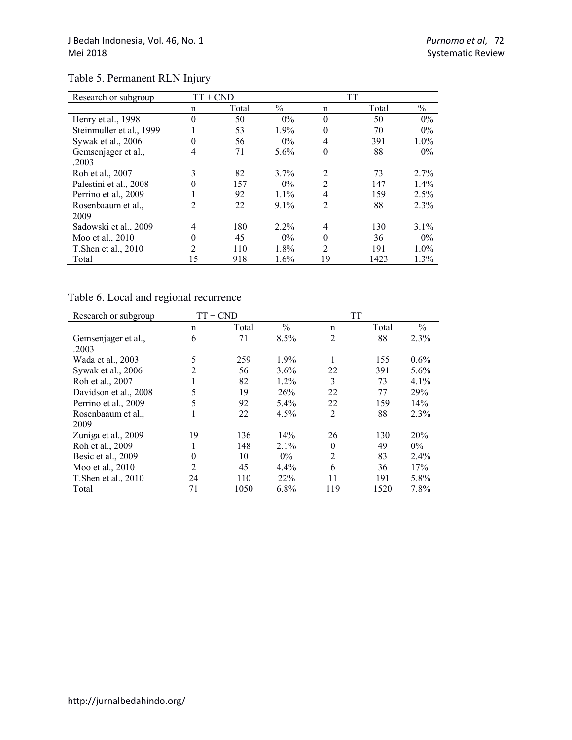| Research or subgroup     |          | TT + CND | <b>TT</b>     |                |       |               |
|--------------------------|----------|----------|---------------|----------------|-------|---------------|
|                          | n        | Total    | $\frac{0}{0}$ | n              | Total | $\frac{0}{0}$ |
| Henry et al., 1998       | $\Omega$ | 50       | $0\%$         | $\Omega$       | 50    | $0\%$         |
| Steinmuller et al., 1999 |          | 53       | 1.9%          |                | 70    | $0\%$         |
| Sywak et al., 2006       | 0        | 56       | $0\%$         | 4              | 391   | $1.0\%$       |
| Gemsenjager et al.,      | 4        | 71       | 5.6%          | $\theta$       | 88    | $0\%$         |
| .2003                    |          |          |               |                |       |               |
| Roh et al., 2007         | 3        | 82       | $3.7\%$       | $\overline{2}$ | 73    | 2.7%          |
| Palestini et al., 2008   | 0        | 157      | $0\%$         | $\overline{2}$ | 147   | $1.4\%$       |
| Perrino et al., 2009     |          | 92       | $1.1\%$       | 4              | 159   | 2.5%          |
| Rosenbaaum et al.,       | 2        | 22       | $9.1\%$       | $\overline{2}$ | 88    | 2.3%          |
| 2009                     |          |          |               |                |       |               |
| Sadowski et al., 2009    | 4        | 180      | $2.2\%$       | 4              | 130   | $3.1\%$       |
| Moo et al., 2010         |          | 45       | $0\%$         |                | 36    | $0\%$         |
| T. Shen et al., 2010     | 2        | 110      | 1.8%          | $\mathfrak{D}$ | 191   | 1.0%          |
| Total                    | 15       | 918      | 1.6%          | 19             | 1423  | 1.3%          |

# Table 5. Permanent RLN Injury

# Table 6. Local and regional recurrence

| Research or subgroup         |                | $TT + CND$ | <b>TT</b>     |                |       |               |
|------------------------------|----------------|------------|---------------|----------------|-------|---------------|
|                              | n              | Total      | $\frac{0}{0}$ | n              | Total | $\frac{0}{0}$ |
| Gemsenjager et al.,<br>.2003 | 6              | 71         | 8.5%          | $\overline{2}$ | 88    | 2.3%          |
| Wada et al., 2003            | 5              | 259        | 1.9%          | 1              | 155   | 0.6%          |
| Sywak et al., 2006           | $\mathfrak{D}$ | 56         | $3.6\%$       | 22             | 391   | $5.6\%$       |
| Roh et al., 2007             | 1              | 82         | $1.2\%$       | 3              | 73    | 4.1%          |
| Davidson et al., 2008        | 5              | 19         | 26%           | 22             | 77    | 29%           |
| Perrino et al., 2009         | 5              | 92         | 5.4%          | 22             | 159   | 14%           |
| Rosenbaaum et al.,<br>2009   | $\mathbf{I}$   | 22         | 4.5%          | $\overline{2}$ | 88    | 2.3%          |
| Zuniga et al., 2009          | 19             | 136        | 14%           | 26             | 130   | 20%           |
| Roh et al., 2009             |                | 148        | $2.1\%$       | 0              | 49    | $0\%$         |
| Besic et al., 2009           | 0              | 10         | $0\%$         | $\overline{2}$ | 83    | $2.4\%$       |
| Moo et al., 2010             | 2              | 45         | 4.4%          | 6              | 36    | 17%           |
| T. Shen et al., 2010         | 24             | 110        | 22%           | 11             | 191   | 5.8%          |
| Total                        | 71             | 1050       | 6.8%          | 119            | 1520  | 7.8%          |